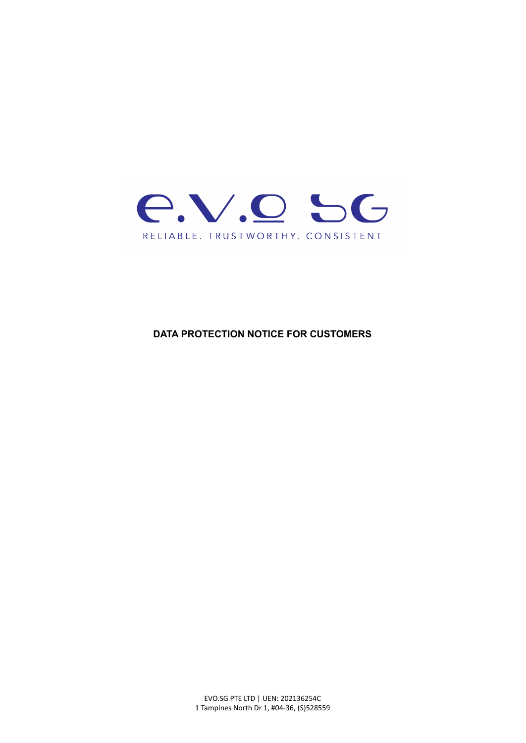

**DATA PROTECTION NOTICE FOR CUSTOMERS**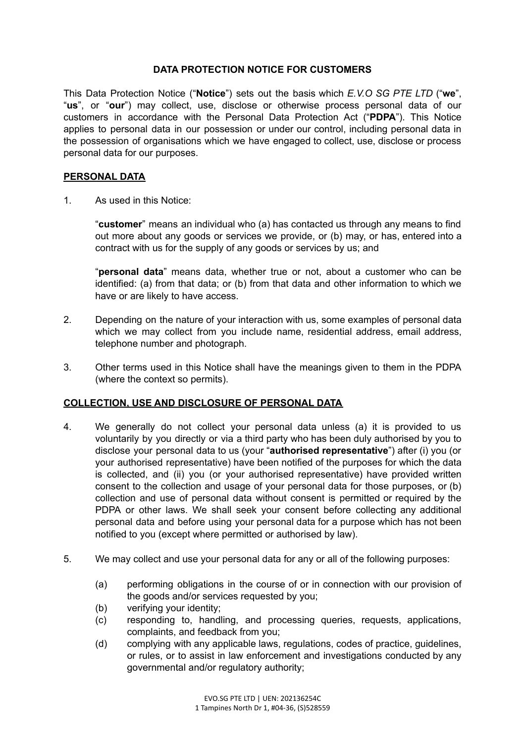## **DATA PROTECTION NOTICE FOR CUSTOMERS**

This Data Protection Notice ("**Notice**") sets out the basis which *E.V.O SG PTE LTD* ("**we**", "**us**", or "**our**") may collect, use, disclose or otherwise process personal data of our customers in accordance with the Personal Data Protection Act ("**PDPA**"). This Notice applies to personal data in our possession or under our control, including personal data in the possession of organisations which we have engaged to collect, use, disclose or process personal data for our purposes.

## **PERSONAL DATA**

1. As used in this Notice:

"**customer**" means an individual who (a) has contacted us through any means to find out more about any goods or services we provide, or (b) may, or has, entered into a contract with us for the supply of any goods or services by us; and

"**personal data**" means data, whether true or not, about a customer who can be identified: (a) from that data; or (b) from that data and other information to which we have or are likely to have access.

- 2. Depending on the nature of your interaction with us, some examples of personal data which we may collect from you include name, residential address, email address, telephone number and photograph.
- 3. Other terms used in this Notice shall have the meanings given to them in the PDPA (where the context so permits).

# **COLLECTION, USE AND DISCLOSURE OF PERSONAL DATA**

- 4. We generally do not collect your personal data unless (a) it is provided to us voluntarily by you directly or via a third party who has been duly authorised by you to disclose your personal data to us (your "**authorised representative**") after (i) you (or your authorised representative) have been notified of the purposes for which the data is collected, and (ii) you (or your authorised representative) have provided written consent to the collection and usage of your personal data for those purposes, or (b) collection and use of personal data without consent is permitted or required by the PDPA or other laws. We shall seek your consent before collecting any additional personal data and before using your personal data for a purpose which has not been notified to you (except where permitted or authorised by law).
- 5. We may collect and use your personal data for any or all of the following purposes:
	- (a) performing obligations in the course of or in connection with our provision of the goods and/or services requested by you;
	- (b) verifying your identity;
	- (c) responding to, handling, and processing queries, requests, applications, complaints, and feedback from you;
	- (d) complying with any applicable laws, regulations, codes of practice, guidelines, or rules, or to assist in law enforcement and investigations conducted by any governmental and/or regulatory authority;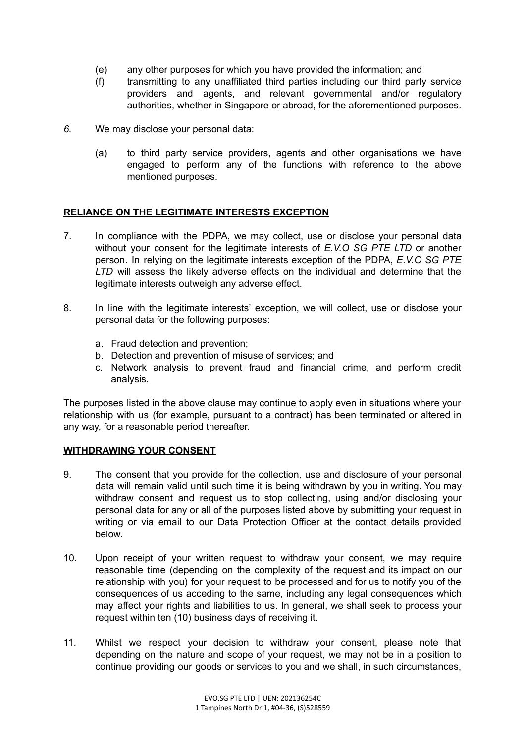- (e) any other purposes for which you have provided the information; and
- (f) transmitting to any unaffiliated third parties including our third party service providers and agents, and relevant governmental and/or regulatory authorities, whether in Singapore or abroad, for the aforementioned purposes.
- *6.* We may disclose your personal data:
	- (a) to third party service providers, agents and other organisations we have engaged to perform any of the functions with reference to the above mentioned purposes.

## **RELIANCE ON THE LEGITIMATE INTERESTS EXCEPTION**

- 7. In compliance with the PDPA, we may collect, use or disclose your personal data without your consent for the legitimate interests of *E.V.O SG PTE LTD* or another person. In relying on the legitimate interests exception of the PDPA, *E.V.O SG PTE LTD* will assess the likely adverse effects on the individual and determine that the legitimate interests outweigh any adverse effect.
- 8. In line with the legitimate interests' exception, we will collect, use or disclose your personal data for the following purposes:
	- a. Fraud detection and prevention;
	- b. Detection and prevention of misuse of services; and
	- c. Network analysis to prevent fraud and financial crime, and perform credit analysis.

The purposes listed in the above clause may continue to apply even in situations where your relationship with us (for example, pursuant to a contract) has been terminated or altered in any way, for a reasonable period thereafter.

### **WITHDRAWING YOUR CONSENT**

- 9. The consent that you provide for the collection, use and disclosure of your personal data will remain valid until such time it is being withdrawn by you in writing. You may withdraw consent and request us to stop collecting, using and/or disclosing your personal data for any or all of the purposes listed above by submitting your request in writing or via email to our Data Protection Officer at the contact details provided below.
- 10. Upon receipt of your written request to withdraw your consent, we may require reasonable time (depending on the complexity of the request and its impact on our relationship with you) for your request to be processed and for us to notify you of the consequences of us acceding to the same, including any legal consequences which may affect your rights and liabilities to us. In general, we shall seek to process your request within ten (10) business days of receiving it.
- 11. Whilst we respect your decision to withdraw your consent, please note that depending on the nature and scope of your request, we may not be in a position to continue providing our goods or services to you and we shall, in such circumstances,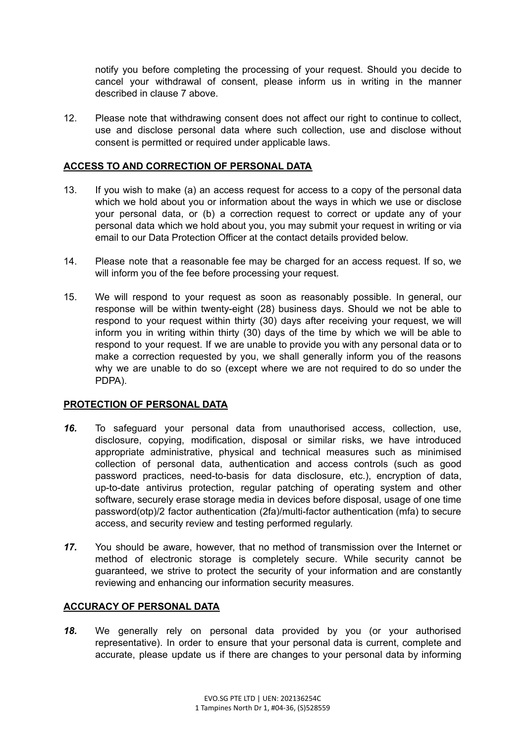notify you before completing the processing of your request. Should you decide to cancel your withdrawal of consent, please inform us in writing in the manner described in clause 7 above.

12. Please note that withdrawing consent does not affect our right to continue to collect, use and disclose personal data where such collection, use and disclose without consent is permitted or required under applicable laws.

## **ACCESS TO AND CORRECTION OF PERSONAL DATA**

- 13. If you wish to make (a) an access request for access to a copy of the personal data which we hold about you or information about the ways in which we use or disclose your personal data, or (b) a correction request to correct or update any of your personal data which we hold about you, you may submit your request in writing or via email to our Data Protection Officer at the contact details provided below.
- 14. Please note that a reasonable fee may be charged for an access request. If so, we will inform you of the fee before processing your request.
- 15. We will respond to your request as soon as reasonably possible. In general, our response will be within twenty-eight (28) business days. Should we not be able to respond to your request within thirty (30) days after receiving your request, we will inform you in writing within thirty (30) days of the time by which we will be able to respond to your request. If we are unable to provide you with any personal data or to make a correction requested by you, we shall generally inform you of the reasons why we are unable to do so (except where we are not required to do so under the PDPA).

### **PROTECTION OF PERSONAL DATA**

- *16.* To safeguard your personal data from unauthorised access, collection, use, disclosure, copying, modification, disposal or similar risks, we have introduced appropriate administrative, physical and technical measures such as minimised collection of personal data, authentication and access controls (such as good password practices, need-to-basis for data disclosure, etc.), encryption of data, up-to-date antivirus protection, regular patching of operating system and other software, securely erase storage media in devices before disposal, usage of one time password(otp)/2 factor authentication (2fa)/multi-factor authentication (mfa) to secure access, and security review and testing performed regularly.
- *17.* You should be aware, however, that no method of transmission over the Internet or method of electronic storage is completely secure. While security cannot be guaranteed, we strive to protect the security of your information and are constantly reviewing and enhancing our information security measures.

### **ACCURACY OF PERSONAL DATA**

*18.* We generally rely on personal data provided by you (or your authorised representative). In order to ensure that your personal data is current, complete and accurate, please update us if there are changes to your personal data by informing